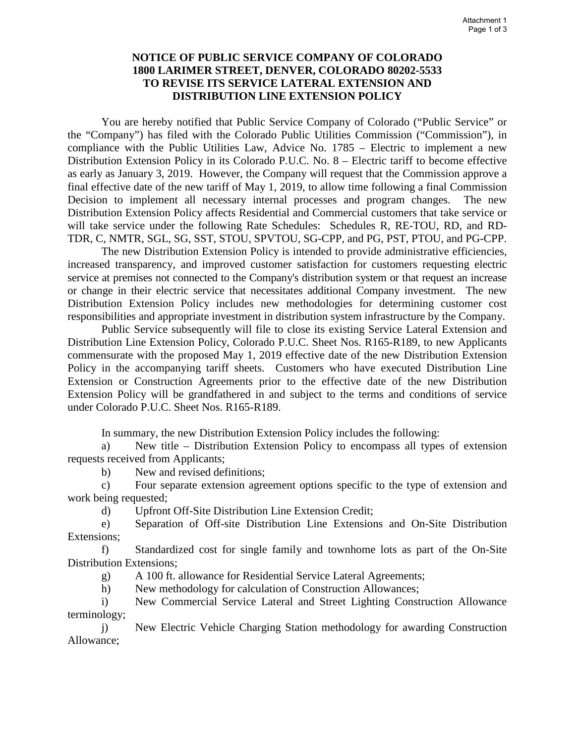## **NOTICE OF PUBLIC SERVICE COMPANY OF COLORADO 1800 LARIMER STREET, DENVER, COLORADO 80202-5533 TO REVISE ITS SERVICE LATERAL EXTENSION AND DISTRIBUTION LINE EXTENSION POLICY**

You are hereby notified that Public Service Company of Colorado ("Public Service" or the "Company") has filed with the Colorado Public Utilities Commission ("Commission"), in compliance with the Public Utilities Law, Advice No. 1785 – Electric to implement a new Distribution Extension Policy in its Colorado P.U.C. No. 8 – Electric tariff to become effective as early as January 3, 2019. However, the Company will request that the Commission approve a final effective date of the new tariff of May 1, 2019, to allow time following a final Commission Decision to implement all necessary internal processes and program changes. The new Distribution Extension Policy affects Residential and Commercial customers that take service or will take service under the following Rate Schedules: Schedules R, RE-TOU, RD, and RD-TDR, C, NMTR, SGL, SG, SST, STOU, SPVTOU, SG-CPP, and PG, PST, PTOU, and PG-CPP.

The new Distribution Extension Policy is intended to provide administrative efficiencies, increased transparency, and improved customer satisfaction for customers requesting electric service at premises not connected to the Company's distribution system or that request an increase or change in their electric service that necessitates additional Company investment. The new Distribution Extension Policy includes new methodologies for determining customer cost responsibilities and appropriate investment in distribution system infrastructure by the Company.

Public Service subsequently will file to close its existing Service Lateral Extension and Distribution Line Extension Policy, Colorado P.U.C. Sheet Nos. R165-R189, to new Applicants commensurate with the proposed May 1, 2019 effective date of the new Distribution Extension Policy in the accompanying tariff sheets. Customers who have executed Distribution Line Extension or Construction Agreements prior to the effective date of the new Distribution Extension Policy will be grandfathered in and subject to the terms and conditions of service under Colorado P.U.C. Sheet Nos. R165-R189.

In summary, the new Distribution Extension Policy includes the following:

a) New title – Distribution Extension Policy to encompass all types of extension requests received from Applicants;

b) New and revised definitions;

c) Four separate extension agreement options specific to the type of extension and work being requested;

d) Upfront Off-Site Distribution Line Extension Credit;

e) Separation of Off-site Distribution Line Extensions and On-Site Distribution Extensions;

f) Standardized cost for single family and townhome lots as part of the On-Site Distribution Extensions;

g) A 100 ft. allowance for Residential Service Lateral Agreements;

h) New methodology for calculation of Construction Allowances;

i) New Commercial Service Lateral and Street Lighting Construction Allowance terminology;

j) New Electric Vehicle Charging Station methodology for awarding Construction Allowance;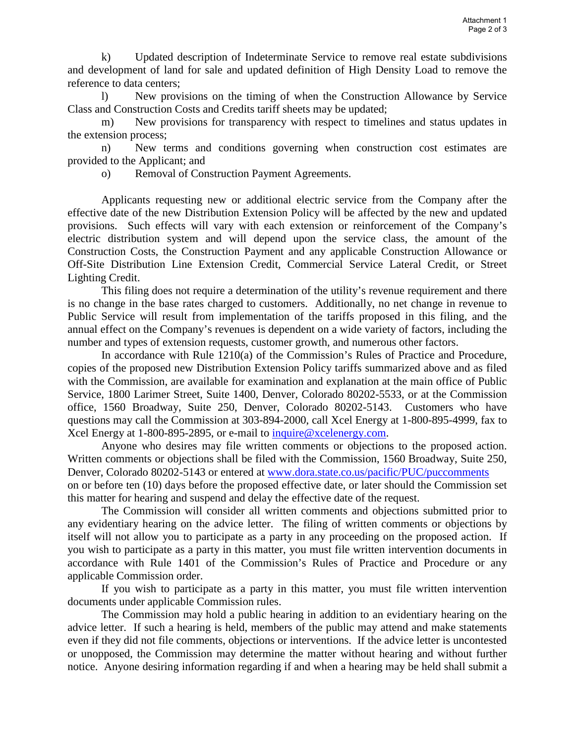k) Updated description of Indeterminate Service to remove real estate subdivisions and development of land for sale and updated definition of High Density Load to remove the reference to data centers;

 l) New provisions on the timing of when the Construction Allowance by Service Class and Construction Costs and Credits tariff sheets may be updated;

m) New provisions for transparency with respect to timelines and status updates in the extension process;

 n) New terms and conditions governing when construction cost estimates are provided to the Applicant; and

o) Removal of Construction Payment Agreements.

 Applicants requesting new or additional electric service from the Company after the effective date of the new Distribution Extension Policy will be affected by the new and updated provisions. Such effects will vary with each extension or reinforcement of the Company's electric distribution system and will depend upon the service class, the amount of the Construction Costs, the Construction Payment and any applicable Construction Allowance or Off-Site Distribution Line Extension Credit, Commercial Service Lateral Credit, or Street Lighting Credit.

This filing does not require a determination of the utility's revenue requirement and there is no change in the base rates charged to customers. Additionally, no net change in revenue to Public Service will result from implementation of the tariffs proposed in this filing, and the annual effect on the Company's revenues is dependent on a wide variety of factors, including the number and types of extension requests, customer growth, and numerous other factors.

In accordance with Rule 1210(a) of the Commission's Rules of Practice and Procedure, copies of the proposed new Distribution Extension Policy tariffs summarized above and as filed with the Commission, are available for examination and explanation at the main office of Public Service, 1800 Larimer Street, Suite 1400, Denver, Colorado 80202-5533, or at the Commission office, 1560 Broadway, Suite 250, Denver, Colorado 80202-5143. Customers who have questions may call the Commission at 303-894-2000, call Xcel Energy at 1-800-895-4999, fax to Xcel Energy at 1-800-895-2895, or e-mail to [inquire@xcelenergy.com.](mailto:inquire@xcelenergy.com)

Anyone who desires may file written comments or objections to the proposed action. Written comments or objections shall be filed with the Commission, 1560 Broadway, Suite 250, Denver, Colorado 80202-5143 or entered at [www.dora.state.co.us/pacific/PUC/puccomments](http://www.dora.state.co.us/pacific/PUC/puccomments)  on or before ten (10) days before the proposed effective date, or later should the Commission set this matter for hearing and suspend and delay the effective date of the request.

The Commission will consider all written comments and objections submitted prior to any evidentiary hearing on the advice letter. The filing of written comments or objections by itself will not allow you to participate as a party in any proceeding on the proposed action. If you wish to participate as a party in this matter, you must file written intervention documents in accordance with Rule 1401 of the Commission's Rules of Practice and Procedure or any applicable Commission order.

If you wish to participate as a party in this matter, you must file written intervention documents under applicable Commission rules.

The Commission may hold a public hearing in addition to an evidentiary hearing on the advice letter. If such a hearing is held, members of the public may attend and make statements even if they did not file comments, objections or interventions. If the advice letter is uncontested or unopposed, the Commission may determine the matter without hearing and without further notice. Anyone desiring information regarding if and when a hearing may be held shall submit a